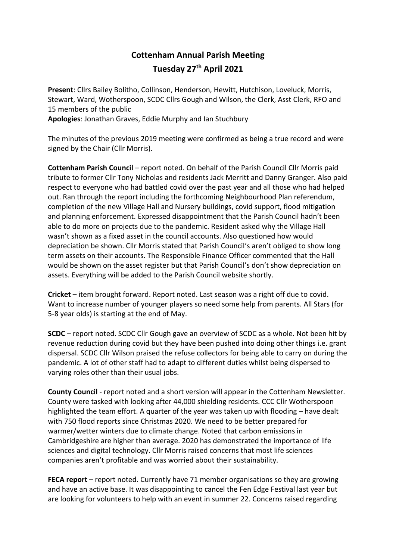## **Cottenham Annual Parish Meeting Tuesday 27th April 2021**

**Present**: Cllrs Bailey Bolitho, Collinson, Henderson, Hewitt, Hutchison, Loveluck, Morris, Stewart, Ward, Wotherspoon, SCDC Cllrs Gough and Wilson, the Clerk, Asst Clerk, RFO and 15 members of the public

**Apologies**: Jonathan Graves, Eddie Murphy and Ian Stuchbury

The minutes of the previous 2019 meeting were confirmed as being a true record and were signed by the Chair (Cllr Morris).

**Cottenham Parish Council** – report noted. On behalf of the Parish Council Cllr Morris paid tribute to former Cllr Tony Nicholas and residents Jack Merritt and Danny Granger. Also paid respect to everyone who had battled covid over the past year and all those who had helped out. Ran through the report including the forthcoming Neighbourhood Plan referendum, completion of the new Village Hall and Nursery buildings, covid support, flood mitigation and planning enforcement. Expressed disappointment that the Parish Council hadn't been able to do more on projects due to the pandemic. Resident asked why the Village Hall wasn't shown as a fixed asset in the council accounts. Also questioned how would depreciation be shown. Cllr Morris stated that Parish Council's aren't obliged to show long term assets on their accounts. The Responsible Finance Officer commented that the Hall would be shown on the asset register but that Parish Council's don't show depreciation on assets. Everything will be added to the Parish Council website shortly.

**Cricket** – item brought forward. Report noted. Last season was a right off due to covid. Want to increase number of younger players so need some help from parents. All Stars (for 5-8 year olds) is starting at the end of May.

**SCDC** – report noted. SCDC Cllr Gough gave an overview of SCDC as a whole. Not been hit by revenue reduction during covid but they have been pushed into doing other things i.e. grant dispersal. SCDC Cllr Wilson praised the refuse collectors for being able to carry on during the pandemic. A lot of other staff had to adapt to different duties whilst being dispersed to varying roles other than their usual jobs.

**County Council** - report noted and a short version will appear in the Cottenham Newsletter. County were tasked with looking after 44,000 shielding residents. CCC Cllr Wotherspoon highlighted the team effort. A quarter of the year was taken up with flooding – have dealt with 750 flood reports since Christmas 2020. We need to be better prepared for warmer/wetter winters due to climate change. Noted that carbon emissions in Cambridgeshire are higher than average. 2020 has demonstrated the importance of life sciences and digital technology. Cllr Morris raised concerns that most life sciences companies aren't profitable and was worried about their sustainability.

**FECA report** – report noted. Currently have 71 member organisations so they are growing and have an active base. It was disappointing to cancel the Fen Edge Festival last year but are looking for volunteers to help with an event in summer 22. Concerns raised regarding